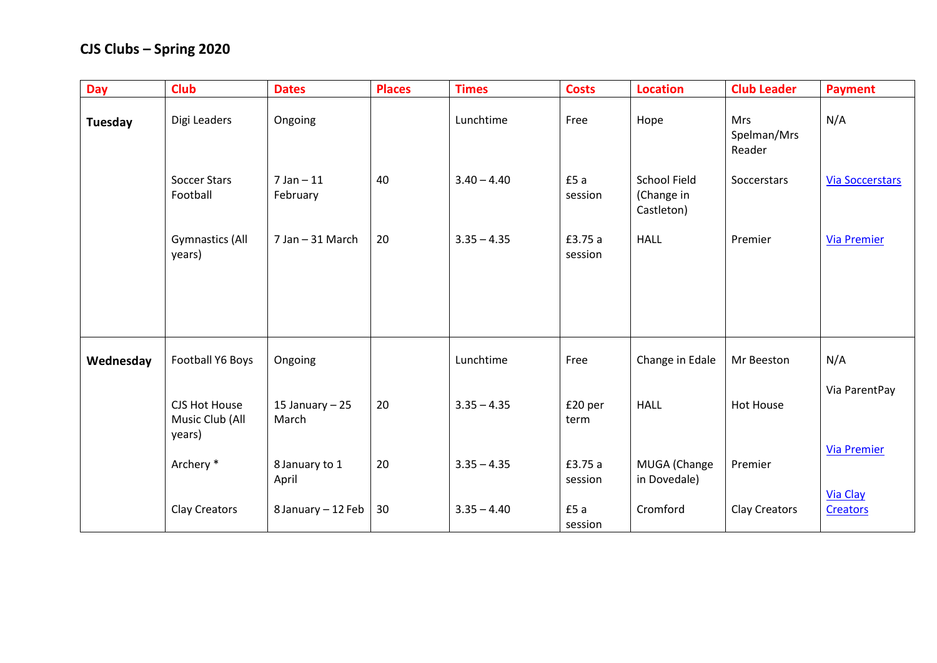| <b>Day</b> | <b>Club</b>                                | <b>Dates</b>              | <b>Places</b> | <b>Times</b>  | <b>Costs</b>       | <b>Location</b>                                 | <b>Club Leader</b>                  | <b>Payment</b>                     |
|------------|--------------------------------------------|---------------------------|---------------|---------------|--------------------|-------------------------------------------------|-------------------------------------|------------------------------------|
| Tuesday    | Digi Leaders                               | Ongoing                   |               | Lunchtime     | Free               | Hope                                            | <b>Mrs</b><br>Spelman/Mrs<br>Reader | N/A                                |
|            | <b>Soccer Stars</b><br>Football            | $7$ Jan $-11$<br>February | 40            | $3.40 - 4.40$ | £5 a<br>session    | <b>School Field</b><br>(Change in<br>Castleton) | Soccerstars                         | <b>Via Soccerstars</b>             |
|            | <b>Gymnastics (All</b><br>years)           | 7 Jan - 31 March          | 20            | $3.35 - 4.35$ | £3.75 a<br>session | <b>HALL</b>                                     | Premier                             | <b>Via Premier</b>                 |
|            |                                            |                           |               |               |                    |                                                 |                                     |                                    |
| Wednesday  | Football Y6 Boys                           | Ongoing                   |               | Lunchtime     | Free               | Change in Edale                                 | Mr Beeston                          | N/A                                |
|            | CJS Hot House<br>Music Club (All<br>years) | 15 January $-25$<br>March | 20            | $3.35 - 4.35$ | £20 per<br>term    | <b>HALL</b>                                     | <b>Hot House</b>                    | Via ParentPay                      |
|            | Archery *                                  | 8 January to 1<br>April   | 20            | $3.35 - 4.35$ | £3.75 a<br>session | MUGA (Change<br>in Dovedale)                    | Premier                             | <b>Via Premier</b>                 |
|            | Clay Creators                              | 8 January - 12 Feb        | 30            | $3.35 - 4.40$ | £5a<br>session     | Cromford                                        | Clay Creators                       | <b>Via Clay</b><br><b>Creators</b> |